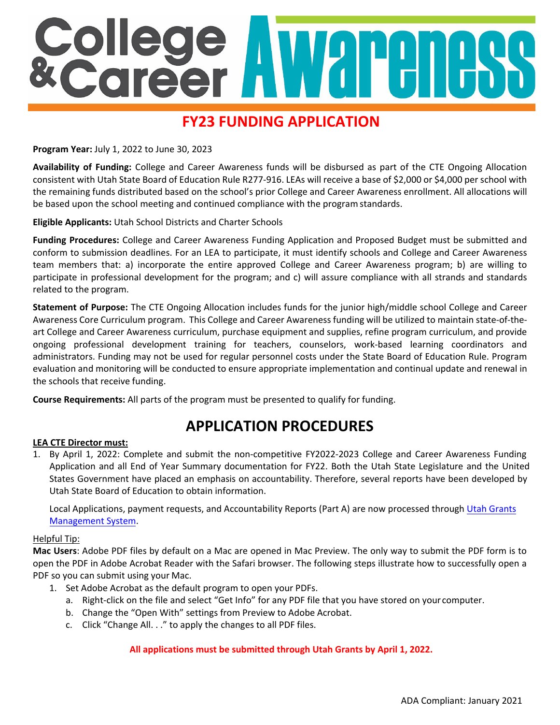# College<br>*Ecareer*

# **FY23 FUNDING APPLICATION**

**Program Year:** July 1, 2022 to June 30, 2023

**Availability of Funding:** College and Career Awareness funds will be disbursed as part of the CTE Ongoing Allocation consistent with Utah State Board of Education Rule R277-916. LEAs will receive a base of \$2,000 or \$4,000 per school with the remaining funds distributed based on the school's prior College and Career Awareness enrollment. All allocations will be based upon the school meeting and continued compliance with the programstandards.

**Eligible Applicants:** Utah School Districts and Charter Schools

**Funding Procedures:** College and Career Awareness Funding Application and Proposed Budget must be submitted and conform to submission deadlines. For an LEA to participate, it must identify schools and College and Career Awareness team members that: a) incorporate the entire approved College and Career Awareness program; b) are willing to participate in professional development for the program; and c) will assure compliance with all strands and standards related to the program.

**Statement of Purpose:** The CTE Ongoing Allocation includes funds for the junior high/middle school College and Career Awareness Core Curriculum program. This College and Career Awareness funding will be utilized to maintain state-of-theart College and Career Awareness curriculum, purchase equipment and supplies, refine program curriculum, and provide ongoing professional development training for teachers, counselors, work-based learning coordinators and administrators. Funding may not be used for regular personnel costs under the State Board of Education Rule. Program evaluation and monitoring will be conducted to ensure appropriate implementation and continual update and renewal in the schools that receive funding.

**Course Requirements:** All parts of the program must be presented to qualify for funding.

## **APPLICATION PROCEDURES**

#### **LEA CTE Director must:**

1. By April 1, 2022: Complete and submit the non-competitive FY2022-2023 College and Career Awareness Funding Application and all End of Year Summary documentation for FY22. Both the Utah State Legislature and the United States Government have placed an emphasis on accountability. Therefore, several reports have been developed by Utah State Board of Education to obtain information.

Local Applications, payment requests, and Accountability Reports (Part A) are now processed through [Utah Grants](https://utahgrants.utah.gov/ApplicantLogin4?username=null) [Management System.](https://utahgrants.utah.gov/ApplicantLogin4?username=null)

#### Helpful Tip:

**Mac Users**: Adobe PDF files by default on a Mac are opened in Mac Preview. The only way to submit the PDF form is to open the PDF in Adobe Acrobat Reader with the Safari browser. The following steps illustrate how to successfully open a PDF so you can submit using your Mac.

- 1. Set Adobe Acrobat as the default program to open your PDFs.
	- a. Right-click on the file and select "Get Info" for any PDF file that you have stored on your computer.
	- b. Change the "Open With" settings from Preview to Adobe Acrobat.
	- c. Click "Change All. . ." to apply the changes to all PDF files.

#### **All applications must be submitted through Utah Grants by April 1, 2022.**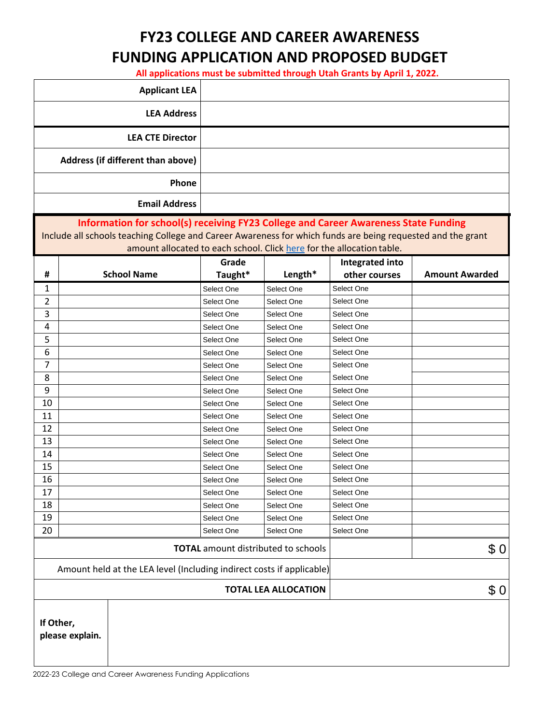# **FY23 COLLEGE AND CAREER AWARENESS FUNDING APPLICATION AND PROPOSED BUDGET**

**All applications must be submitted through Utah Grants by April 1, 2022.**

|                                                                       | <b>Applicant LEA</b>                                                                                                                                                                                                                                                                                    |                          |                          |                          |                       |  |
|-----------------------------------------------------------------------|---------------------------------------------------------------------------------------------------------------------------------------------------------------------------------------------------------------------------------------------------------------------------------------------------------|--------------------------|--------------------------|--------------------------|-----------------------|--|
|                                                                       | <b>LEA Address</b>                                                                                                                                                                                                                                                                                      |                          |                          |                          |                       |  |
|                                                                       | <b>LEA CTE Director</b>                                                                                                                                                                                                                                                                                 |                          |                          |                          |                       |  |
|                                                                       | Address (if different than above)                                                                                                                                                                                                                                                                       |                          |                          |                          |                       |  |
|                                                                       | Phone                                                                                                                                                                                                                                                                                                   |                          |                          |                          |                       |  |
|                                                                       | <b>Email Address</b>                                                                                                                                                                                                                                                                                    |                          |                          |                          |                       |  |
|                                                                       | Information for school(s) receiving FY23 College and Career Awareness State Funding<br>Include all schools teaching College and Career Awareness for which funds are being requested and the grant<br>amount allocated to each school. Click here for the allocation table.<br>Grade<br>Integrated into |                          |                          |                          |                       |  |
| #                                                                     | <b>School Name</b>                                                                                                                                                                                                                                                                                      | Taught*                  | Length*                  | other courses            | <b>Amount Awarded</b> |  |
| 1                                                                     |                                                                                                                                                                                                                                                                                                         | Select One               | Select One               | Select One               |                       |  |
| $\overline{2}$                                                        |                                                                                                                                                                                                                                                                                                         | Select One               | Select One               | Select One               |                       |  |
| 3                                                                     |                                                                                                                                                                                                                                                                                                         | Select One               | Select One               | Select One               |                       |  |
| 4                                                                     |                                                                                                                                                                                                                                                                                                         | Select One               | Select One               | Select One               |                       |  |
| 5                                                                     |                                                                                                                                                                                                                                                                                                         | Select One               | Select One               | Select One               |                       |  |
| 6                                                                     |                                                                                                                                                                                                                                                                                                         | Select One               | Select One               | Select One               |                       |  |
| 7                                                                     |                                                                                                                                                                                                                                                                                                         | Select One               | Select One               | Select One               |                       |  |
| 8                                                                     |                                                                                                                                                                                                                                                                                                         | Select One               | Select One               | Select One               |                       |  |
| 9                                                                     |                                                                                                                                                                                                                                                                                                         | Select One               | Select One               | Select One               |                       |  |
| 10                                                                    |                                                                                                                                                                                                                                                                                                         | Select One               | Select One               | Select One               |                       |  |
| 11                                                                    |                                                                                                                                                                                                                                                                                                         | Select One               | Select One               | Select One               |                       |  |
| 12<br>13                                                              |                                                                                                                                                                                                                                                                                                         | Select One               | Select One               | Select One               |                       |  |
| 14                                                                    |                                                                                                                                                                                                                                                                                                         | Select One               | Select One               | Select One<br>Select One |                       |  |
| 15                                                                    |                                                                                                                                                                                                                                                                                                         | Select One<br>Select One | Select One<br>Select One | Select One               |                       |  |
| 16                                                                    |                                                                                                                                                                                                                                                                                                         | Select One               | Select One               | Select One               |                       |  |
| 17                                                                    |                                                                                                                                                                                                                                                                                                         | Select One               | Select One               | Select One               |                       |  |
| 18                                                                    |                                                                                                                                                                                                                                                                                                         | Select One               | Select One               | Select One               |                       |  |
| 19                                                                    |                                                                                                                                                                                                                                                                                                         | Select One               | Select One               | Select One               |                       |  |
| 20                                                                    |                                                                                                                                                                                                                                                                                                         | Select One               | Select One               | Select One               |                       |  |
| \$0<br><b>TOTAL</b> amount distributed to schools                     |                                                                                                                                                                                                                                                                                                         |                          |                          |                          |                       |  |
| Amount held at the LEA level (Including indirect costs if applicable) |                                                                                                                                                                                                                                                                                                         |                          |                          |                          |                       |  |
| <b>TOTAL LEA ALLOCATION</b>                                           |                                                                                                                                                                                                                                                                                                         |                          |                          | \$0                      |                       |  |
| If Other,<br>please explain.                                          |                                                                                                                                                                                                                                                                                                         |                          |                          |                          |                       |  |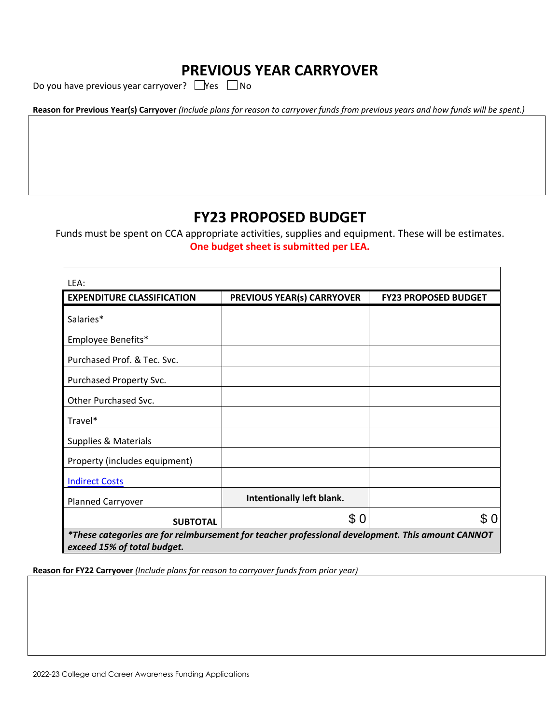## **PREVIOUS YEAR CARRYOVER**

Do you have previous year carryover?  $\Box$ Yes  $\Box$ No

|--|

## **FY23 PROPOSED BUDGET**

Funds must be spent on CCA appropriate activities, supplies and equipment. These will be estimates. **One budget sheet is submitted per LEA.**

| LEA:                                                                                             |                                   |                             |  |  |
|--------------------------------------------------------------------------------------------------|-----------------------------------|-----------------------------|--|--|
| <b>EXPENDITURE CLASSIFICATION</b>                                                                | <b>PREVIOUS YEAR(s) CARRYOVER</b> | <b>FY23 PROPOSED BUDGET</b> |  |  |
| Salaries*                                                                                        |                                   |                             |  |  |
| Employee Benefits*                                                                               |                                   |                             |  |  |
| Purchased Prof. & Tec. Svc.                                                                      |                                   |                             |  |  |
| Purchased Property Svc.                                                                          |                                   |                             |  |  |
| Other Purchased Svc.                                                                             |                                   |                             |  |  |
| Travel*                                                                                          |                                   |                             |  |  |
| Supplies & Materials                                                                             |                                   |                             |  |  |
| Property (includes equipment)                                                                    |                                   |                             |  |  |
| <b>Indirect Costs</b>                                                                            |                                   |                             |  |  |
| <b>Planned Carryover</b>                                                                         | Intentionally left blank.         |                             |  |  |
| <b>SUBTOTAL</b>                                                                                  | \$0                               | \$0                         |  |  |
| *These categories are for reimbursement for teacher professional development. This amount CANNOT |                                   |                             |  |  |
| exceed 15% of total budget.                                                                      |                                   |                             |  |  |

**Reason for FY22 Carryover** *(Include plans for reason to carryover funds from prior year)*